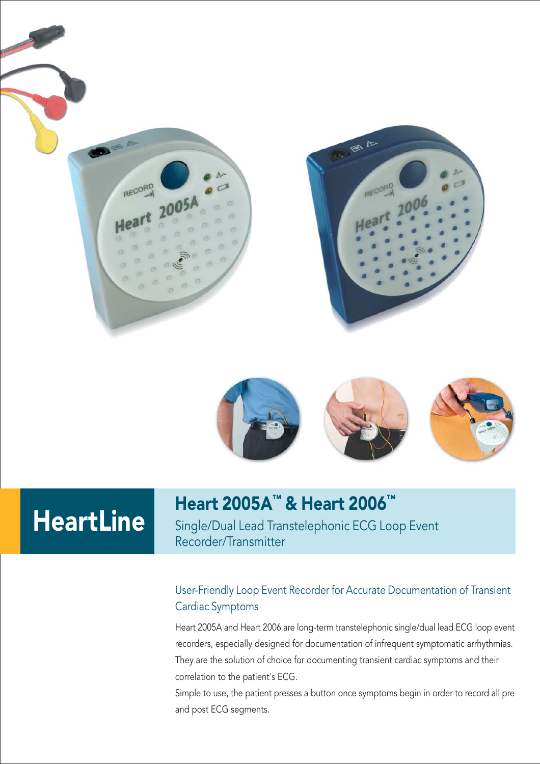



Heart 2005A<sup>™</sup> & Heart 2006<sup>™</sup><br>Single/Dual Lead Transtelephonic ECG Loop Event Recorder/Transmitter

# User-Friendly Loop Event Recorder for Accurate Documentation of Transient Cardiac Symptoms

Heart 2005A and Heart 2006 are long-term transtelephonic single/dual lead ECG loop event recorders, especially designed for documentation of infrequent symptomatic arrhythmias. They are the solution of choice for documenting transient cardiac symptoms and their correlation to the patient's ECG.

Simple to use, the patient presses a button once symptoms begin in order to record all pre and post ECG segments.